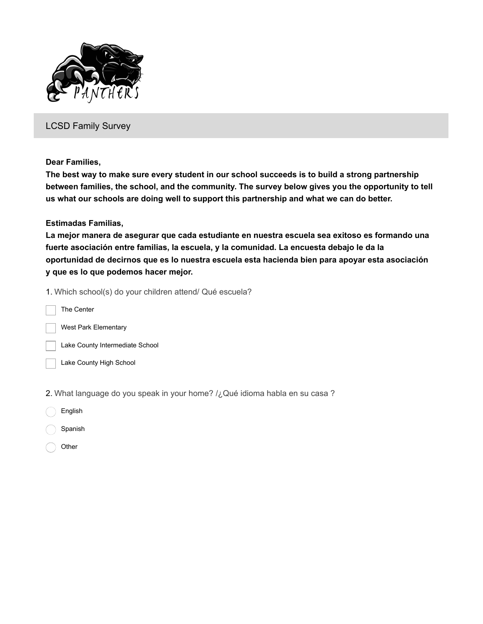

LCSD Family Survey

**Dear Families,**

**The best way to make sure every student in our school succeeds is to build a strong partnership between families, the school, and the community. The survey below gives you the opportunity to tell us what our schools are doing well to support this partnership and what we can do better.**

**Estimadas Familias,**

**La mejor manera de asegurar que cada estudiante en nuestra escuela sea exitoso es formando una fuerte asociación entre familias, la escuela, y la comunidad. La encuesta debajo le da la oportunidad de decirnos que es lo nuestra escuela esta hacienda bien para apoyar esta asociación y que es lo que podemos hacer mejor.**

1. Which school(s) do your children attend/ Qué escuela?

The Center West Park Elementary Lake County Intermediate School Lake County High School

2. What language do you speak in your home? /¿Qué idioma habla en su casa ?

- English
- Spanish
- **Other**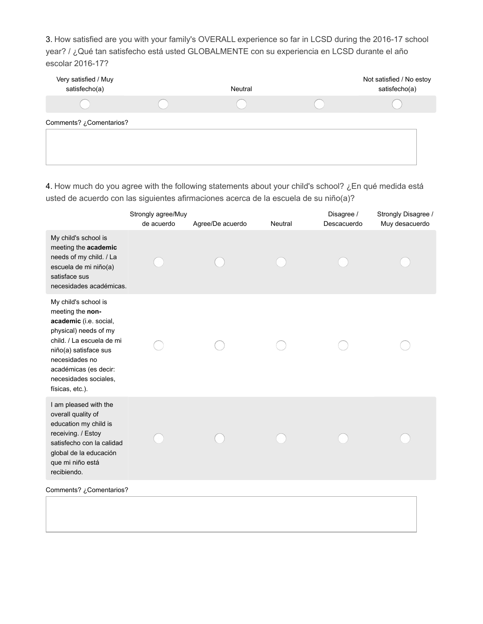3. How satisfied are you with your family's OVERALL experience so far in LCSD during the 2016-17 school year? / ¿Qué tan satisfecho está usted GLOBALMENTE con su experiencia en LCSD durante el año escolar 2016-17?

| Very satisfied / Muy<br>satisfecho(a) | Neutral | Not satisfied / No estoy<br>satisfecho(a) |
|---------------------------------------|---------|-------------------------------------------|
|                                       |         |                                           |
| Comentarios? ¿Comentarios?            |         |                                           |

4. How much do you agree with the following statements about your child's school? ¿En qué medida está usted de acuerdo con las siguientes afirmaciones acerca de la escuela de su niño(a)?

|                                                                                                                                                                                                                                          | Strongly agree/Muy<br>de acuerdo | Agree/De acuerdo | Neutral | Disagree /<br>Descacuerdo | Strongly Disagree /<br>Muy desacuerdo |
|------------------------------------------------------------------------------------------------------------------------------------------------------------------------------------------------------------------------------------------|----------------------------------|------------------|---------|---------------------------|---------------------------------------|
| My child's school is<br>meeting the academic<br>needs of my child. / La<br>escuela de mi niño(a)<br>satisface sus<br>necesidades académicas.                                                                                             |                                  |                  |         |                           |                                       |
| My child's school is<br>meeting the non-<br>academic (i.e. social,<br>physical) needs of my<br>child. / La escuela de mi<br>niño(a) satisface sus<br>necesidades no<br>académicas (es decir:<br>necesidades sociales,<br>físicas, etc.). |                                  |                  |         |                           |                                       |
| I am pleased with the<br>overall quality of<br>education my child is<br>receiving. / Estoy<br>satisfecho con la calidad<br>global de la educación<br>que mi niño está<br>recibiendo.                                                     |                                  |                  |         |                           |                                       |
| Comments? ¿Comentarios?                                                                                                                                                                                                                  |                                  |                  |         |                           |                                       |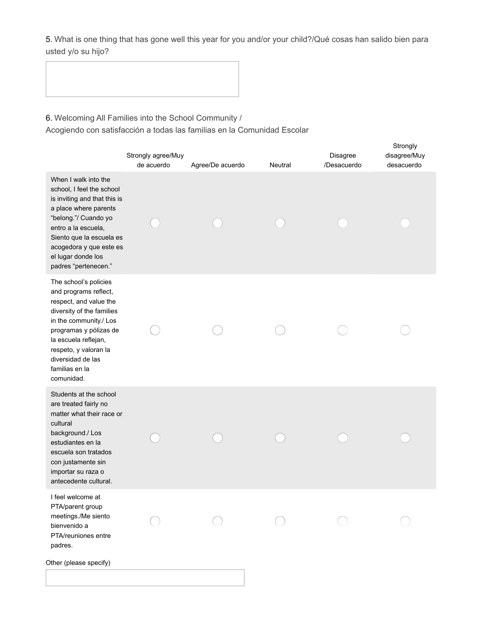5. What is one thing that has gone well this year for you and/or your child?/Qué cosas han salido bien para usted y/o su hijo?

6. Welcoming All Families into the School Community /

Acogiendo con satisfacción a todas las familias en la Comunidad Escolar

|                                                                                                                                                                                                                                                                 | Strongly agree/Muy<br>de acuerdo | Agree/De acuerdo | Neutral | Disagree<br>/Desacuerdo | Strongly<br>disagree/Muy<br>desacuerdo |
|-----------------------------------------------------------------------------------------------------------------------------------------------------------------------------------------------------------------------------------------------------------------|----------------------------------|------------------|---------|-------------------------|----------------------------------------|
| When I walk into the<br>school, I feel the school<br>is inviting and that this is<br>a place where parents<br>"belong."/ Cuando yo<br>entro a la escuela,<br>Siento que la escuela es<br>acogedora y que este es<br>el lugar donde los<br>padres "pertenecen."  |                                  |                  |         |                         |                                        |
| The school's policies<br>and programs reflect,<br>respect, and value the<br>diversity of the families<br>in the community./ Los<br>programas y pólizas de<br>la escuela reflejan,<br>respeto, y valoran la<br>diversidad de las<br>familias en la<br>comunidad. |                                  |                  |         |                         |                                        |
| Students at the school<br>are treated fairly no<br>matter what their race or<br>cultural<br>background./ Los<br>estudiantes en la<br>escuela son tratados<br>con justamente sin<br>importar su raza o<br>antecedente cultural.                                  |                                  |                  |         |                         |                                        |
| I feel welcome at<br>PTA/parent group<br>meetings./Me siento<br>bienvenido a<br>PTA/reuniones entre<br>padres.<br>Other (please specify)                                                                                                                        |                                  |                  |         |                         |                                        |
|                                                                                                                                                                                                                                                                 |                                  |                  |         |                         |                                        |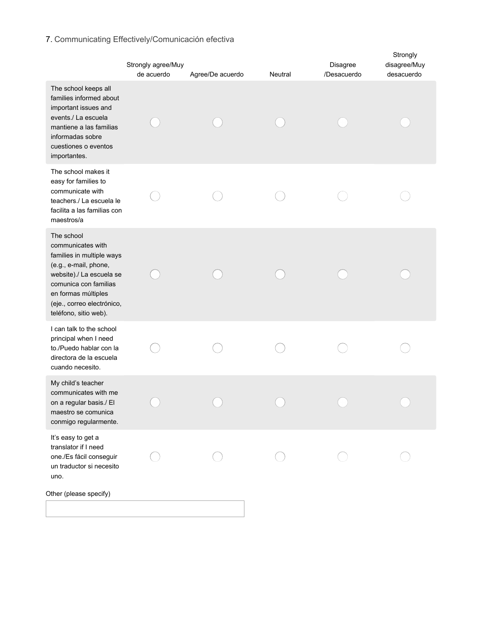# 7. Communicating Effectively/Comunicación efectiva

|                                                                                                                                                                                                                          | Strongly agree/Muy<br>de acuerdo | Agree/De acuerdo | Neutral | Disagree<br>/Desacuerdo | Strongly<br>disagree/Muy<br>desacuerdo |
|--------------------------------------------------------------------------------------------------------------------------------------------------------------------------------------------------------------------------|----------------------------------|------------------|---------|-------------------------|----------------------------------------|
| The school keeps all<br>families informed about<br>important issues and<br>events./ La escuela<br>mantiene a las familias<br>informadas sobre<br>cuestiones o eventos<br>importantes.                                    |                                  |                  |         |                         |                                        |
| The school makes it<br>easy for families to<br>communicate with<br>teachers./ La escuela le<br>facilita a las familias con<br>maestros/a                                                                                 |                                  |                  |         |                         |                                        |
| The school<br>communicates with<br>families in multiple ways<br>(e.g., e-mail, phone,<br>website)./ La escuela se<br>comunica con familias<br>en formas múltiples<br>(eje., correo electrónico,<br>teléfono, sitio web). |                                  |                  |         |                         |                                        |
| I can talk to the school<br>principal when I need<br>to./Puedo hablar con la<br>directora de la escuela<br>cuando necesito.                                                                                              |                                  |                  |         |                         |                                        |
| My child's teacher<br>communicates with me<br>on a regular basis./ El<br>maestro se comunica<br>conmigo regularmente.                                                                                                    |                                  |                  |         |                         |                                        |
| It's easy to get a<br>translator if I need<br>one./Es fácil conseguir<br>un traductor si necesito<br>uno.                                                                                                                |                                  |                  |         |                         |                                        |
| Other (please specify)                                                                                                                                                                                                   |                                  |                  |         |                         |                                        |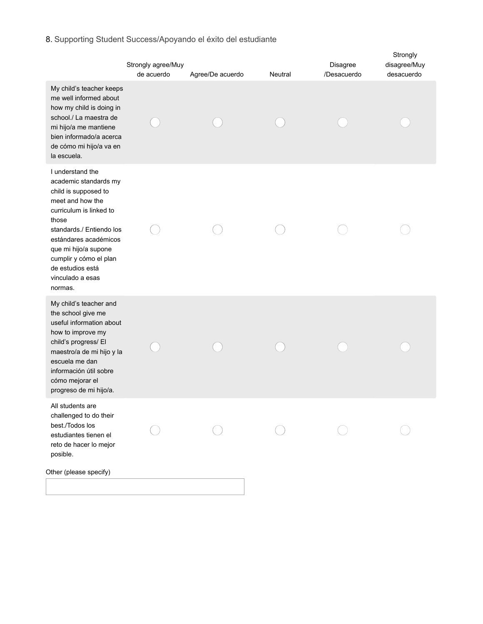## 8. Supporting Student Success/Apoyando el éxito del estudiante

|                                                                                                                                                                                                                                                                                     | Strongly agree/Muy<br>de acuerdo | Agree/De acuerdo | Neutral | Disagree<br>/Desacuerdo | Strongly<br>disagree/Muy<br>desacuerdo |
|-------------------------------------------------------------------------------------------------------------------------------------------------------------------------------------------------------------------------------------------------------------------------------------|----------------------------------|------------------|---------|-------------------------|----------------------------------------|
| My child's teacher keeps<br>me well informed about<br>how my child is doing in<br>school./ La maestra de<br>mi hijo/a me mantiene<br>bien informado/a acerca<br>de cómo mi hijo/a va en<br>la escuela.                                                                              |                                  |                  |         |                         |                                        |
| I understand the<br>academic standards my<br>child is supposed to<br>meet and how the<br>curriculum is linked to<br>those<br>standards./ Entiendo los<br>estándares académicos<br>que mi hijo/a supone<br>cumplir y cómo el plan<br>de estudios está<br>vinculado a esas<br>normas. |                                  |                  |         |                         |                                        |
| My child's teacher and<br>the school give me<br>useful information about<br>how to improve my<br>child's progress/ El<br>maestro/a de mi hijo y la<br>escuela me dan<br>información útil sobre<br>cómo mejorar el<br>progreso de mi hijo/a.                                         |                                  |                  |         |                         |                                        |
| All students are<br>challenged to do their<br>best./Todos los<br>estudiantes tienen el<br>reto de hacer lo mejor<br>posible.                                                                                                                                                        |                                  |                  |         |                         |                                        |
| Other (please specify)                                                                                                                                                                                                                                                              |                                  |                  |         |                         |                                        |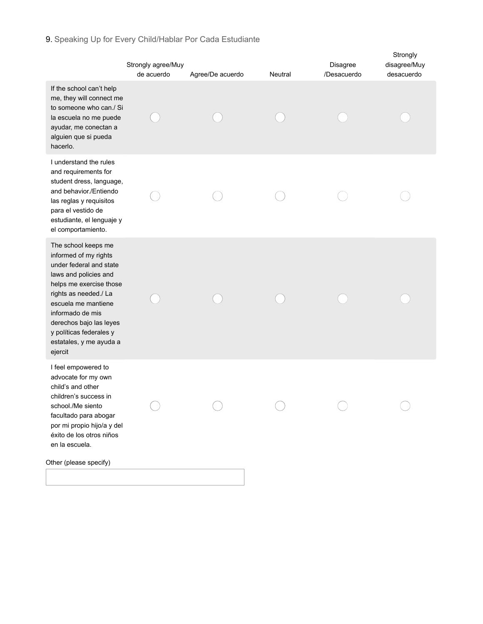## 9. Speaking Up for Every Child/Hablar Por Cada Estudiante

|                                                                                                                                                                                                                                                                                             | Strongly agree/Muy<br>de acuerdo | Agree/De acuerdo | Neutral | Disagree<br>/Desacuerdo | Strongly<br>disagree/Muy<br>desacuerdo |
|---------------------------------------------------------------------------------------------------------------------------------------------------------------------------------------------------------------------------------------------------------------------------------------------|----------------------------------|------------------|---------|-------------------------|----------------------------------------|
| If the school can't help<br>me, they will connect me<br>to someone who can./ Si<br>la escuela no me puede<br>ayudar, me conectan a<br>alguien que si pueda<br>hacerlo.                                                                                                                      |                                  |                  |         |                         |                                        |
| I understand the rules<br>and requirements for<br>student dress, language,<br>and behavior./Entiendo<br>las reglas y requisitos<br>para el vestido de<br>estudiante, el lenguaje y<br>el comportamiento.                                                                                    |                                  |                  |         |                         |                                        |
| The school keeps me<br>informed of my rights<br>under federal and state<br>laws and policies and<br>helps me exercise those<br>rights as needed./ La<br>escuela me mantiene<br>informado de mis<br>derechos bajo las leyes<br>y políticas federales y<br>estatales, y me ayuda a<br>ejercit |                                  |                  |         |                         |                                        |
| I feel empowered to<br>advocate for my own<br>child's and other<br>children's success in<br>school./Me siento<br>facultado para abogar<br>por mi propio hijo/a y del<br>éxito de los otros niños<br>en la escuela.                                                                          |                                  |                  |         |                         |                                        |
| Other (please specify)                                                                                                                                                                                                                                                                      |                                  |                  |         |                         |                                        |
|                                                                                                                                                                                                                                                                                             |                                  |                  |         |                         |                                        |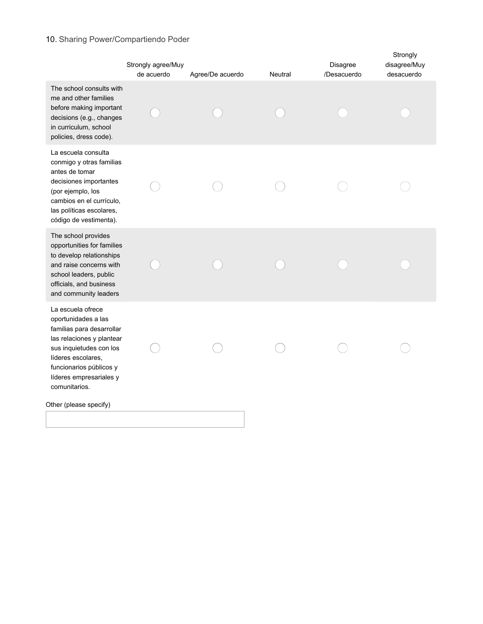## 10. Sharing Power/Compartiendo Poder

|                                                                                                                                                                                                                            | Strongly agree/Muy<br>de acuerdo | Agree/De acuerdo | Neutral | Disagree<br>/Desacuerdo | Strongly<br>disagree/Muy<br>desacuerdo |
|----------------------------------------------------------------------------------------------------------------------------------------------------------------------------------------------------------------------------|----------------------------------|------------------|---------|-------------------------|----------------------------------------|
| The school consults with<br>me and other families<br>before making important<br>decisions (e.g., changes<br>in curriculum, school<br>policies, dress code).                                                                |                                  |                  |         |                         |                                        |
| La escuela consulta<br>conmigo y otras familias<br>antes de tomar<br>decisiones importantes<br>(por ejemplo, los<br>cambios en el currículo,<br>las políticas escolares,<br>código de vestimenta).                         |                                  |                  |         |                         |                                        |
| The school provides<br>opportunities for families<br>to develop relationships<br>and raise concerns with<br>school leaders, public<br>officials, and business<br>and community leaders                                     |                                  |                  |         |                         |                                        |
| La escuela ofrece<br>oportunidades a las<br>familias para desarrollar<br>las relaciones y plantear<br>sus inquietudes con los<br>líderes escolares,<br>funcionarios públicos y<br>líderes empresariales y<br>comunitarios. |                                  |                  |         |                         |                                        |
| Other (please specify)                                                                                                                                                                                                     |                                  |                  |         |                         |                                        |
|                                                                                                                                                                                                                            |                                  |                  |         |                         |                                        |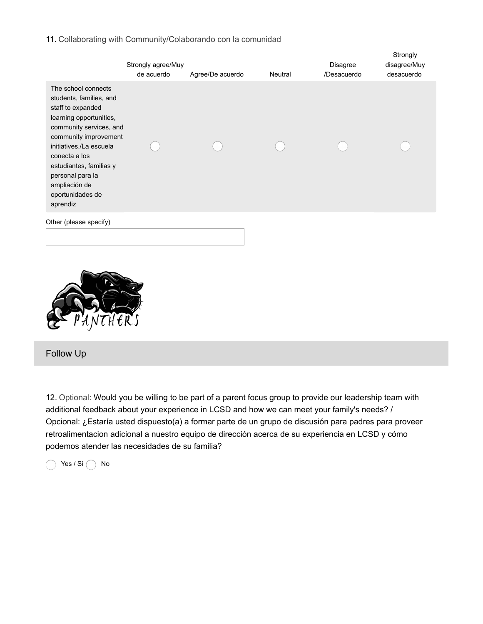### 11. Collaborating with Community/Colaborando con la comunidad

|                                                                                                                                                                                                                                                                                                | Strongly agree/Muy<br>de acuerdo | Agree/De acuerdo | Neutral | Disagree<br>/Desacuerdo | Strongly<br>disagree/Muy<br>desacuerdo |
|------------------------------------------------------------------------------------------------------------------------------------------------------------------------------------------------------------------------------------------------------------------------------------------------|----------------------------------|------------------|---------|-------------------------|----------------------------------------|
| The school connects<br>students, families, and<br>staff to expanded<br>learning opportunities,<br>community services, and<br>community improvement<br>initiatives./La escuela<br>conecta a los<br>estudiantes, familias y<br>personal para la<br>ampliación de<br>oportunidades de<br>aprendiz |                                  |                  |         |                         |                                        |
| Other (please specify)                                                                                                                                                                                                                                                                         |                                  |                  |         |                         |                                        |

Follow Up

12. Optional: Would you be willing to be part of a parent focus group to provide our leadership team with additional feedback about your experience in LCSD and how we can meet your family's needs? / Opcional: ¿Estaría usted dispuesto(a) a formar parte de un grupo de discusión para padres para proveer retroalimentacion adicional a nuestro equipo de dirección acerca de su experiencia en LCSD y cómo podemos atender las necesidades de su familia?

 $\bigcap$  Yes / Si $\bigcap$  No